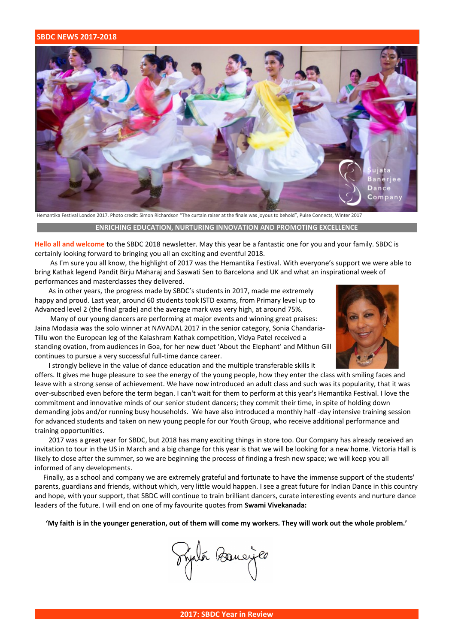## **SBDC NEWS 2017-2018**



Hemantika Festival London 2017. Photo credit: Simon Richardson "The curtain raiser at the finale was joyous to behold", Pulse Connects, Winter 2017

## **ENRICHING EDUCATION, NURTURING INNOVATION AND PROMOTING EXCELLENCE**

**Hello all and welcome** to the SBDC 2018 newsletter. May this year be a fantastic one for you and your family. SBDC is certainly looking forward to bringing you all an exciting and eventful 2018.

 As I'm sure you all know, the highlight of 2017 was the Hemantika Festival. With everyone's support we were able to bring Kathak legend Pandit Birju Maharaj and Saswati Sen to Barcelona and UK and what an inspirational week of performances and masterclasses they delivered.

 As in other years, the progress made by SBDC's students in 2017, made me extremely happy and proud. Last year, around 60 students took ISTD exams, from Primary level up to Advanced level 2 (the final grade) and the average mark was very high, at around 75%.

 Many of our young dancers are performing at major events and winning great praises: Jaina Modasia was the solo winner at NAVADAL 2017 in the senior category, Sonia Chandaria-Tillu won the European leg of the Kalashram Kathak competition, Vidya Patel received a standing ovation, from audiences in Goa, for her new duet 'About the Elephant' and Mithun Gill continues to pursue a very successful full-time dance career.



I strongly believe in the value of dance education and the multiple transferable skills it

offers. It gives me huge pleasure to see the energy of the young people, how they enter the class with smiling faces and leave with a strong sense of achievement. We have now introduced an adult class and such was its popularity, that it was over-subscribed even before the term began. I can't wait for them to perform at this year's Hemantika Festival. I love the commitment and innovative minds of our senior student dancers; they commit their time, in spite of holding down demanding jobs and/or running busy households. We have also introduced a monthly half -day intensive training session for advanced students and taken on new young people for our Youth Group, who receive additional performance and training opportunities.

 2017 was a great year for SBDC, but 2018 has many exciting things in store too. Our Company has already received an invitation to tour in the US in March and a big change for this year is that we will be looking for a new home. Victoria Hall is likely to close after the summer, so we are beginning the process of finding a fresh new space; we will keep you all informed of any developments.

 Finally, as a school and company we are extremely grateful and fortunate to have the immense support of the students' parents, guardians and friends, without which, very little would happen. I see a great future for Indian Dance in this country and hope, with your support, that SBDC will continue to train brilliant dancers, curate interesting events and nurture dance leaders of the future. I will end on one of my favourite quotes from **Swami Vivekanada:**

 **'My faith is in the younger generation, out of them will come my workers. They will work out the whole problem.'** 

Printo Banciere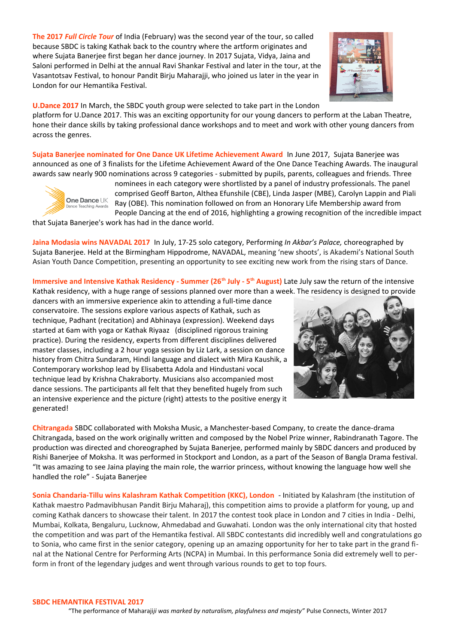**The 2017** *Full Circle Tour* of India (February) was the second year of the tour, so called because SBDC is taking Kathak back to the country where the artform originates and where Sujata Banerjee first began her dance journey. In 2017 Sujata, Vidya, Jaina and Saloni performed in Delhi at the annual Ravi Shankar Festival and later in the tour, at the Vasantotsav Festival, to honour Pandit Birju Maharajji, who joined us later in the year in London for our Hemantika Festival.



## **U.Dance 2017** In March, the SBDC youth group were selected to take part in the London

platform for U.Dance 2017. This was an exciting opportunity for our young dancers to perform at the Laban Theatre, hone their dance skills by taking professional dance workshops and to meet and work with other young dancers from across the genres.

**Sujata Banerjee nominated for One Dance UK Lifetime Achievement Award** In June 2017, Sujata Banerjee was announced as one of 3 finalists for the Lifetime Achievement Award of the One Dance Teaching Awards. The inaugural awards saw nearly 900 nominations across 9 categories - submitted by pupils, parents, colleagues and friends. Three



nominees in each category were shortlisted by a panel of industry professionals. The panel comprised Geoff Barton, Althea Efunshile (CBE), Linda Jasper (MBE), Carolyn Lappin and Piali Ray (OBE). This nomination followed on from an Honorary Life Membership award from People Dancing at the end of 2016, highlighting a growing recognition of the incredible impact

that Sujata Banerjee's work has had in the dance world.

**Jaina Modasia wins NAVADAL 2017** In July, 17-25 solo category, Performing *In Akbar's Palace,* choreographed by Sujata Banerjee. Held at the Birmingham Hippodrome, NAVADAL, meaning 'new shoots', is Akademi's National South Asian Youth Dance Competition, presenting an opportunity to see exciting new work from the rising stars of Dance.

**Immersive and Intensive Kathak Residency - Summer (26<sup>th</sup> July - 5<sup>th</sup> August) Late July saw the return of the intensive** Kathak residency, with a huge range of sessions planned over more than a week. The residency is designed to provide

dancers with an immersive experience akin to attending a full-time dance conservatoire. The sessions explore various aspects of Kathak, such as technique, Padhant (recitation) and Abhinaya (expression). Weekend days started at 6am with yoga or Kathak Riyaaz (disciplined rigorous training practice). During the residency, experts from different disciplines delivered master classes, including a 2 hour yoga session by Liz Lark, a session on dance history from Chitra Sundaram, Hindi language and dialect with Mira Kaushik, a Contemporary workshop lead by Elisabetta Adola and Hindustani vocal technique lead by Krishna Chakraborty. Musicians also accompanied most dance sessions. The participants all felt that they benefited hugely from such an intensive experience and the picture (right) attests to the positive energy it generated!



**Chitrangada** SBDC collaborated with Moksha Music, a Manchester-based Company, to create the dance-drama Chitrangada, based on the work originally written and composed by the Nobel Prize winner, Rabindranath Tagore. The production was directed and choreographed by Sujata Banerjee, performed mainly by SBDC dancers and produced by Rishi Banerjee of Moksha. It was performed in Stockport and London, as a part of the Season of Bangla Drama festival. "It was amazing to see Jaina playing the main role, the warrior princess, without knowing the language how well she handled the role" - Sujata Banerjee

**Sonia Chandaria-Tillu wins Kalashram Kathak Competition (KKC), London** - Initiated by Kalashram (the institution of Kathak maestro Padmavibhusan Pandit Birju Maharaj), this competition aims to provide a platform for young, up and coming Kathak dancers to showcase their talent. In 2017 the contest took place in London and 7 cities in India - Delhi, Mumbai, Kolkata, Bengaluru, Lucknow, Ahmedabad and Guwahati. London was the only international city that hosted the competition and was part of the Hemantika festival. All SBDC contestants did incredibly well and congratulations go to Sonia, who came first in the senior category, opening up an amazing opportunity for her to take part in the grand final at the National Centre for Performing Arts (NCPA) in Mumbai. In this performance Sonia did extremely well to perform in front of the legendary judges and went through various rounds to get to top fours.